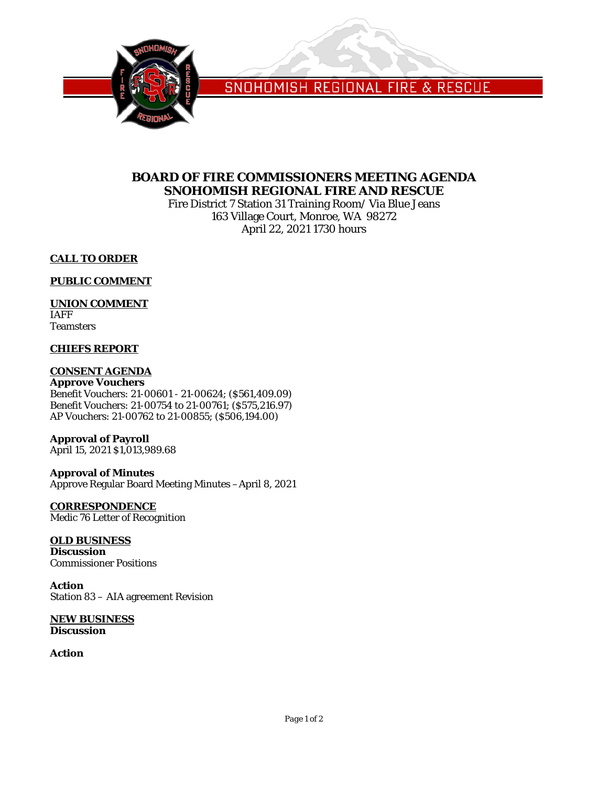

SNOHOMISH REGIONAL FIRE & RESCUE

## **BOARD OF FIRE COMMISSIONERS MEETING AGENDA SNOHOMISH REGIONAL FIRE AND RESCUE**

Fire District 7 Station 31 Training Room/ Via Blue Jeans 163 Village Court, Monroe, WA 98272 April 22, 2021 1730 hours

### **CALL TO ORDER**

### **PUBLIC COMMENT**

### **UNION COMMENT**

IAFF **Teamsters** 

#### **CHIEFS REPORT**

### **CONSENT AGENDA**

**Approve Vouchers** Benefit Vouchers: 21-00601 - 21-00624; (\$561,409.09) Benefit Vouchers: 21-00754 to 21-00761; (\$575,216.97) AP Vouchers: 21-00762 to 21-00855; (\$506,194.00)

## **Approval of Payroll**

April 15, 2021 \$1,013,989.68

#### **Approval of Minutes**

Approve Regular Board Meeting Minutes –April 8, 2021

# **CORRESPONDENCE**

Medic 76 Letter of Recognition

## **OLD BUSINESS**

**Discussion** Commissioner Positions

#### **Action**

Station 83 – AIA agreement Revision

#### **NEW BUSINESS Discussion**

**Action**